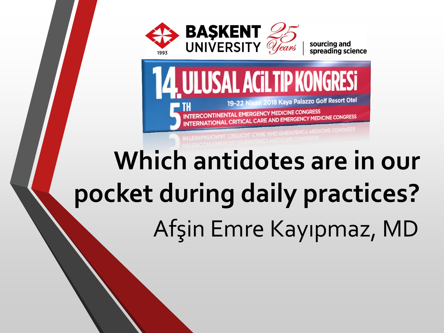

sourcing and<br>spreading science



NAL CRITICAL CARE AND EMERGENCY MEDI

# **Which antidotes are in our pocket during daily practices?** Afşin Emre Kayıpmaz, MD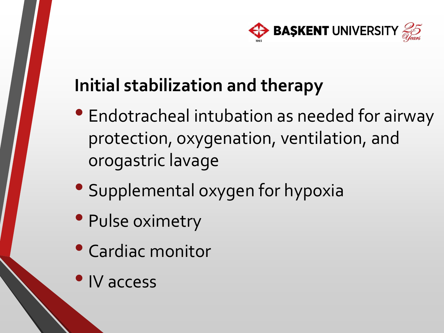

### **Initial stabilization and therapy**

- Endotracheal intubation as needed for airway protection, oxygenation, ventilation, and orogastric lavage
- Supplemental oxygen for hypoxia
- Pulse oximetry
- Cardiac monitor
- •IV access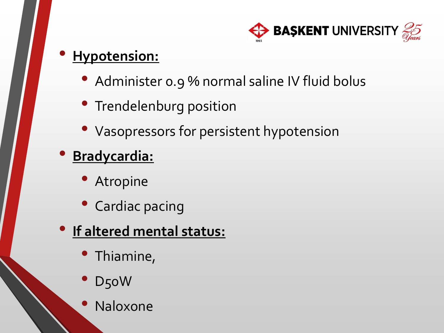

#### • **Hypotension:**

- Administer o.9 % normal saline IV fluid bolus
- Trendelenburg position
- Vasopressors for persistent hypotension

#### • **Bradycardia:**

- **Atropine**
- Cardiac pacing

#### • **If altered mental status:**

- Thiamine,
- D<sub>50</sub>W
- Naloxone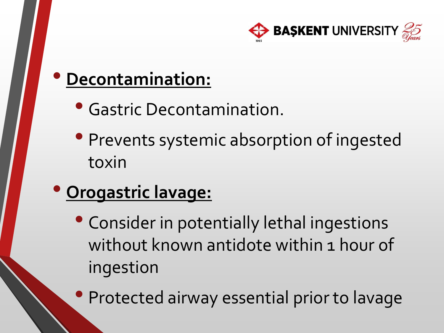

#### • **Decontamination:**

- Gastric Decontamination.
- Prevents systemic absorption of ingested toxin
- **Orogastric lavage:**
	- Consider in potentially lethal ingestions without known antidote within 1 hour of ingestion
	- Protected airway essential prior to lavage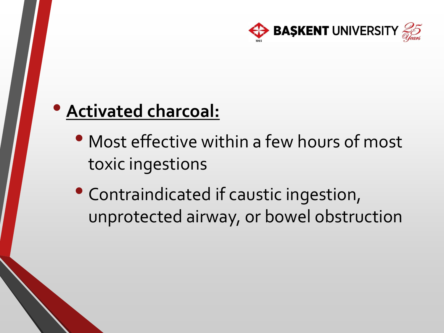

#### • **Activated charcoal:**

- Most effective within a few hours of most toxic ingestions
- Contraindicated if caustic ingestion, unprotected airway, or bowel obstruction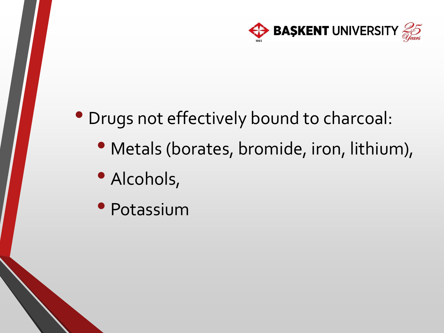

- Drugs not effectively bound to charcoal:
	- Metals (borates, bromide, iron, lithium),
	- Alcohols,
	- Potassium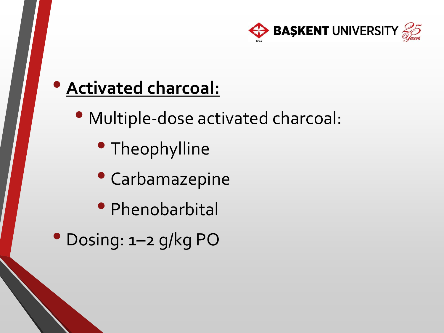

#### • **Activated charcoal:**

- Multiple-dose activated charcoal:
	- Theophylline
	- Carbamazepine
	- Phenobarbital
- Dosing: 1–2 g/kg PO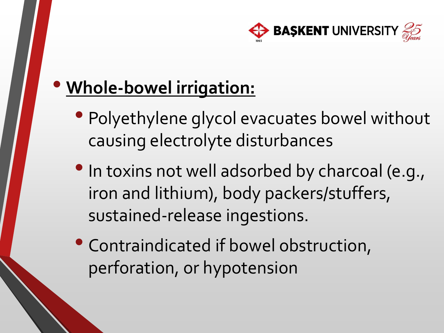

### • **Whole-bowel irrigation:**

- Polyethylene glycol evacuates bowel without causing electrolyte disturbances
- In toxins not well adsorbed by charcoal (e.g., iron and lithium), body packers/stuffers, sustained-release ingestions.
- Contraindicated if bowel obstruction, perforation, or hypotension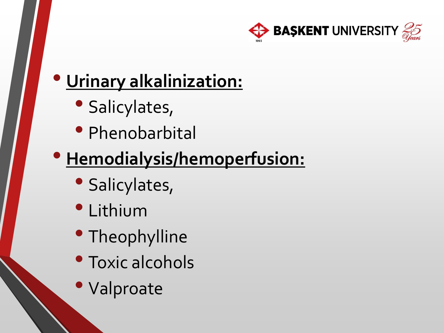

### • **Urinary alkalinization:**

- Salicylates,
- Phenobarbital

### • **Hemodialysis/hemoperfusion:**

- Salicylates,
- Lithium
- Theophylline
- Toxic alcohols
- Valproate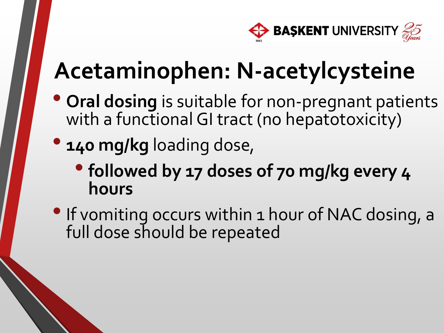

### **Acetaminophen: N-acetylcysteine**

- **Oral dosing** is suitable for non-pregnant patients with a functional GI tract (no hepatotoxicity)
- **140 mg/kg** loading dose,
	- •**followed by 17 doses of 70 mg/kg every 4 hours**
- If vomiting occurs within 1 hour of NAC dosing, a full dose should be repeated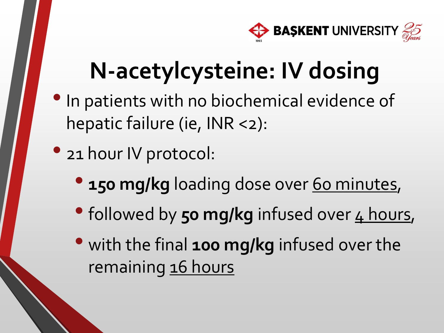

### **N-acetylcysteine: IV dosing**

- In patients with no biochemical evidence of hepatic failure (ie, INR <2):
- 21 hour IV protocol:
	- **150 mg/kg loading dose over 60 minutes,**
	- followed by **50 mg/kg** infused over 4 hours,
	- with the final **100 mg/kg** infused over the remaining 16 hours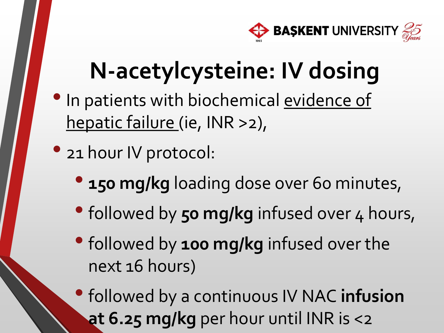

### **N-acetylcysteine: IV dosing**

- In patients with biochemical evidence of hepatic failure (ie, INR >2),
- 21 hour IV protocol:
	- **150 mg/kg loading dose over 60 minutes,**
	- followed by 50 mg/kg infused over 4 hours,
	- •followed by **100 mg/kg** infused over the next 16 hours)
	- •followed by a continuous IV NAC **infusion at 6.25 mg/kg** per hour until INR is <2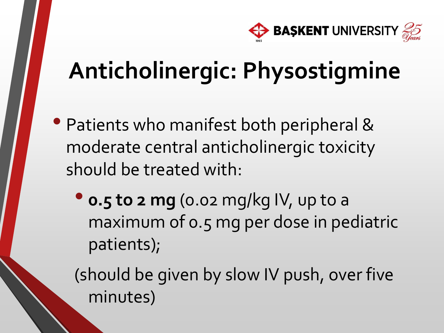

### **Anticholinergic: Physostigmine**

- Patients who manifest both peripheral & moderate central anticholinergic toxicity should be treated with:
	- **0.5 to 2 mg** (0.02 mg/kg IV, up to a maximum of 0.5 mg per dose in pediatric patients);

(should be given by slow IV push, over five minutes)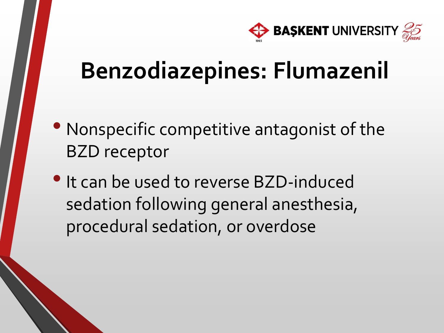

- Nonspecific competitive antagonist of the BZD receptor
- It can be used to reverse BZD-induced sedation following general anesthesia, procedural sedation, or overdose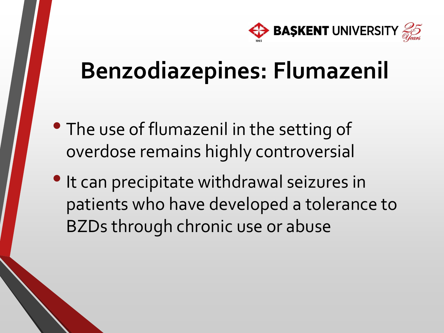

- The use of flumazenil in the setting of overdose remains highly controversial
- It can precipitate withdrawal seizures in patients who have developed a tolerance to BZDs through chronic use or abuse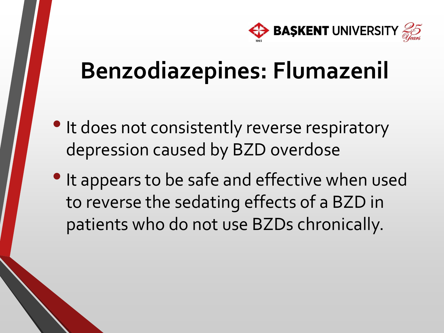

- It does not consistently reverse respiratory depression caused by BZD overdose
- It appears to be safe and effective when used to reverse the sedating effects of a BZD in patients who do not use BZDs chronically.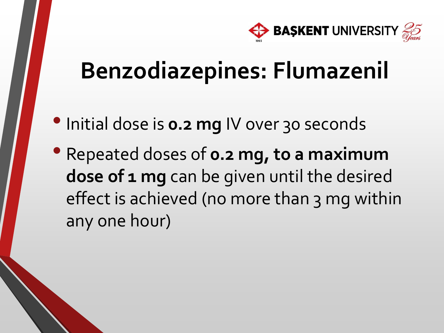

- Initial dose is **0.2 mg** IV over 30 seconds
- Repeated doses of **0.2 mg, to a maximum**  dose of 1 mg can be given until the desired effect is achieved (no more than 3 mg within any one hour)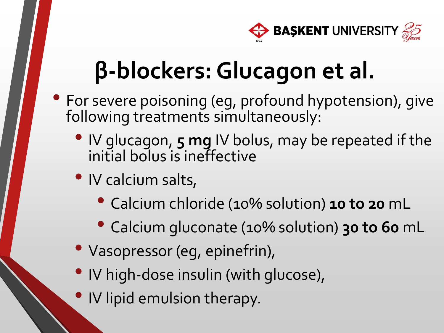

### **β-blockers: Glucagon et al.**

- For severe poisoning (eg, profound hypotension), give following treatments simultaneously:
	- IV glucagon, **5 mg** IV bolus, may be repeated if the initial bolus is ineffective
	- IV calcium salts,
		- Calcium chloride (10% solution) **10 to 20** mL
		- Calcium gluconate (10% solution) **30 to 60** mL
	- Vasopressor (eg, epinefrin),
	- IV high-dose insulin (with glucose),
	- IV lipid emulsion therapy.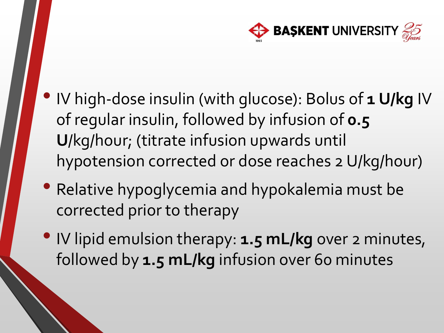

- IV high-dose insulin (with glucose): Bolus of **1 U/kg** IV of regular insulin, followed by infusion of **0.5 U**/kg/hour; (titrate infusion upwards until hypotension corrected or dose reaches 2 U/kg/hour)
- Relative hypoglycemia and hypokalemia must be corrected prior to therapy
- IV lipid emulsion therapy: **1.5 mL/kg** over 2 minutes, followed by **1.5 mL/kg** infusion over 60 minutes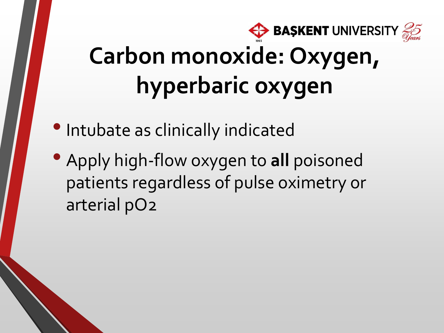

# **Carbon monoxide: Oxygen, hyperbaric oxygen**

- •Intubate as clinically indicated
- Apply high-flow oxygen to **all** poisoned patients regardless of pulse oximetry or arterial pO2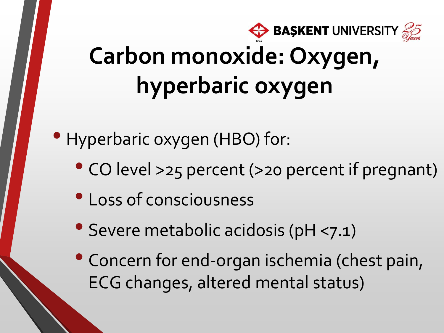

• Hyperbaric oxygen (HBO) for:

- CO level >25 percent (>20 percent if pregnant)
- Loss of consciousness
- Severe metabolic acidosis (pH <7.1)
- Concern for end-organ ischemia (chest pain, ECG changes, altered mental status)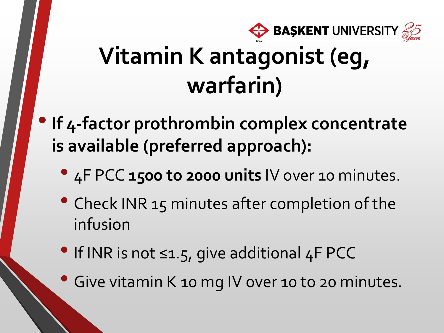

- **If 4-factor prothrombin complex concentrate is available (preferred approach):**
	- 4F PCC **1500 to 2000 units** IV over 10 minutes.
	- Check INR 15 minutes after completion of the infusion
	- If INR is not ≤1.5, give additional 4F PCC
	- Give vitamin K 10 mg IV over 10 to 20 minutes.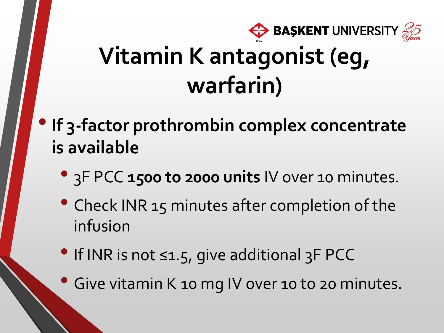

- •**If 3-factor prothrombin complex concentrate is available** 
	- 3F PCC **1500 to 2000 units** IV over 10 minutes.
	- Check INR 15 minutes after completion of the infusion
	- If INR is not ≤1.5, give additional 3F PCC
	- Give vitamin K 10 mg IV over 10 to 20 minutes.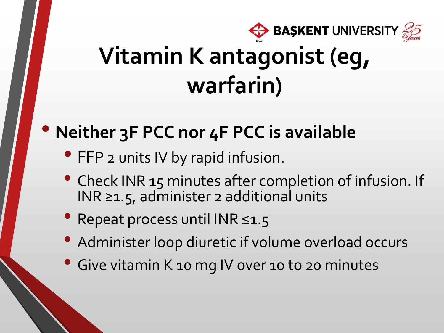

### • **Neither 3F PCC nor 4F PCC is available**

- FFP 2 units IV by rapid infusion.
- Check INR 15 minutes after completion of infusion. If INR ≥1.5, administer 2 additional units
- Repeat process until INR ≤1.5
- Administer loop diuretic if volume overload occurs
- Give vitamin K 10 mg IV over 10 to 20 minutes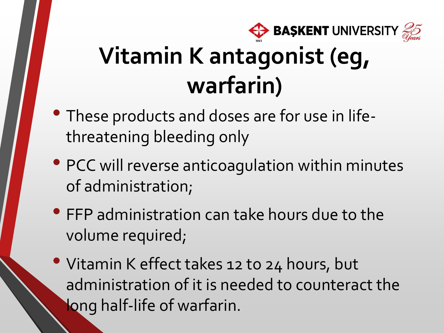

- These products and doses are for use in lifethreatening bleeding only
- PCC will reverse anticoagulation within minutes of administration;
- FFP administration can take hours due to the volume required;
- Vitamin K effect takes 12 to 24 hours, but administration of it is needed to counteract the long half-life of warfarin.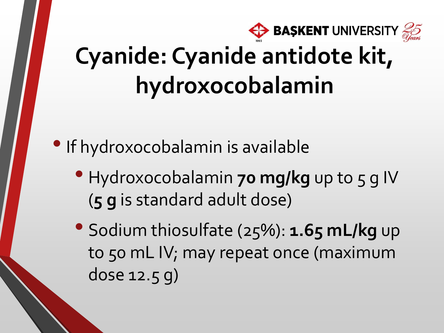

### **Cyanide: Cyanide antidote kit, hydroxocobalamin**

• If hydroxocobalamin is available

- Hydroxocobalamin **70 mg/kg** up to 5 g IV (**5 g** is standard adult dose)
- Sodium thiosulfate (25%): **1.65 mL/kg** up to 50 mL IV; may repeat once (maximum dose 12.5 g)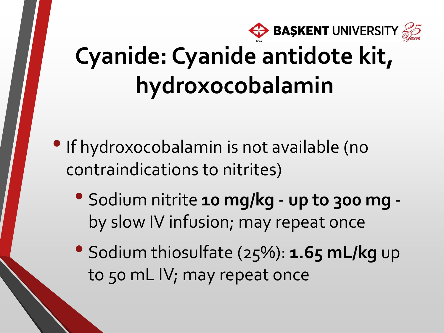

### **Cyanide: Cyanide antidote kit, hydroxocobalamin**

- •If hydroxocobalamin is not available (no contraindications to nitrites)
	- Sodium nitrite **10 mg/kg up to 300 mg**  by slow IV infusion; may repeat once
	- Sodium thiosulfate (25%): **1.65 mL/kg** up to 50 mL IV; may repeat once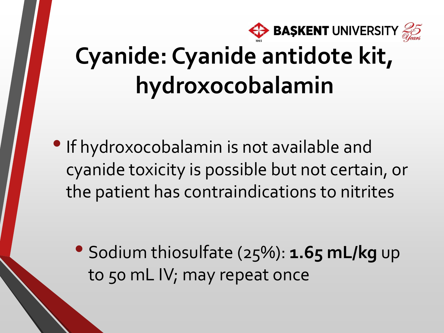

### **Cyanide: Cyanide antidote kit, hydroxocobalamin**

•If hydroxocobalamin is not available and cyanide toxicity is possible but not certain, or the patient has contraindications to nitrites

• Sodium thiosulfate (25%): **1.65 mL/kg** up to 50 mL IV; may repeat once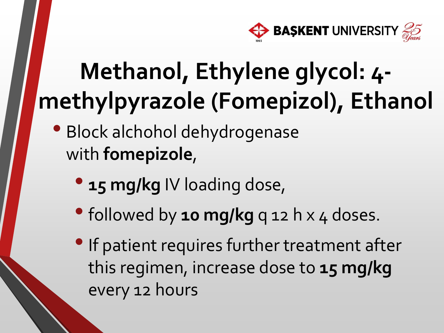

- Block alchohol dehydrogenase with **fomepizole**,
	- **15 mg/kg** IV loading dose,
	- followed by **10 mg/kg** q 12 h x 4 doses.
	- If patient requires further treatment after this regimen, increase dose to **15 mg/kg**  every 12 hours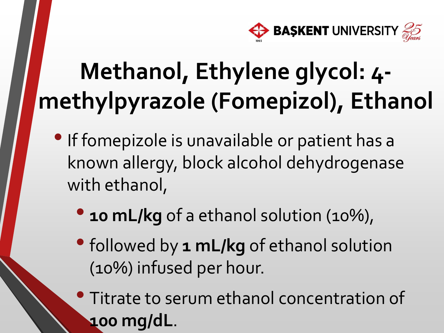

- •If fomepizole is unavailable or patient has a known allergy, block alcohol dehydrogenase with ethanol,
	- **10 mL/kg** of a ethanol solution (10%),
	- •followed by **1 mL/kg** of ethanol solution (10%) infused per hour.
	- Titrate to serum ethanol concentration of **100 mg/dL**.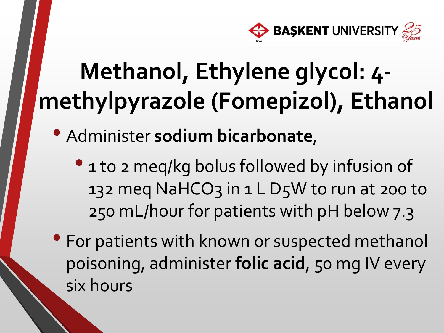

- Administer **sodium bicarbonate**,
	- 1 to 2 meg/kg bolus followed by infusion of 132 meg NaHCO3 in 1 L D5W to run at 200 to 250 mL/hour for patients with pH below 7.3
- For patients with known or suspected methanol poisoning, administer **folic acid**, 50 mg IV every six hours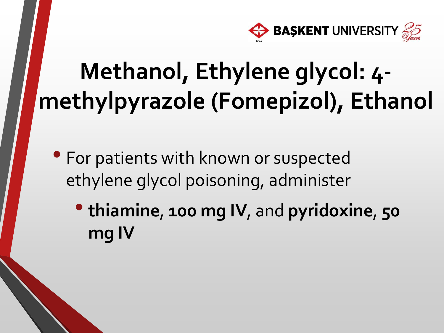

- For patients with known or suspected ethylene glycol poisoning, administer
	- **thiamine**, **100 mg IV**, and **pyridoxine**, **<sup>50</sup> mg IV**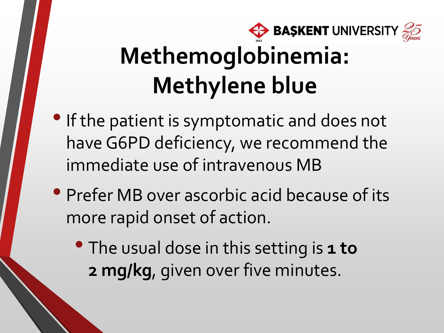

## **Methemoglobinemia: Methylene blue**

- •If the patient is symptomatic and does not have G6PD deficiency, we recommend the immediate use of intravenous MB
- Prefer MB over ascorbic acid because of its more rapid onset of action.
	- The usual dose in this setting is **1 to 2 mg/kg**, given over five minutes.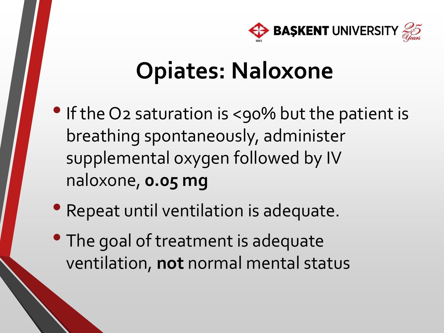

### **Opiates: Naloxone**

- If the O2 saturation is <90% but the patient is breathing spontaneously, administer supplemental oxygen followed by IV naloxone, **0.05 mg**
- Repeat until ventilation is adequate.
- The goal of treatment is adequate ventilation, **not** normal mental status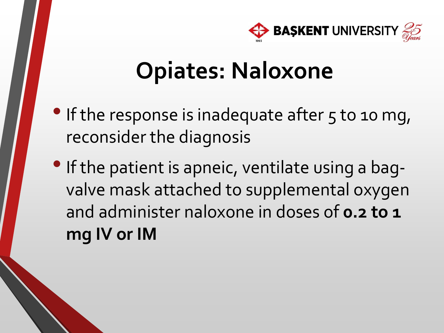

### **Opiates: Naloxone**

- If the response is inadequate after 5 to 10 mg, reconsider the diagnosis
- If the patient is apneic, ventilate using a bagvalve mask attached to supplemental oxygen and administer naloxone in doses of **0.2 to 1 mg IV or IM**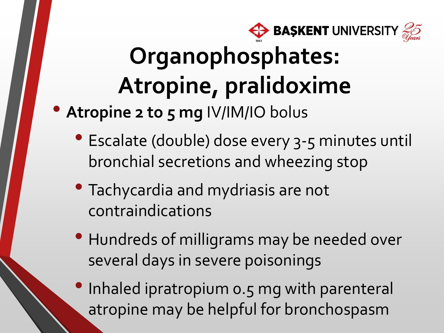

## **Organophosphates: Atropine, pralidoxime**

- **Atropine 2 to 5 mg** IV/IM/IO bolus
	- Escalate (double) dose every 3-5 minutes until bronchial secretions and wheezing stop
	- Tachycardia and mydriasis are not contraindications
	- Hundreds of milligrams may be needed over several days in severe poisonings
	- Inhaled ipratropium 0.5 mg with parenteral atropine may be helpful for bronchospasm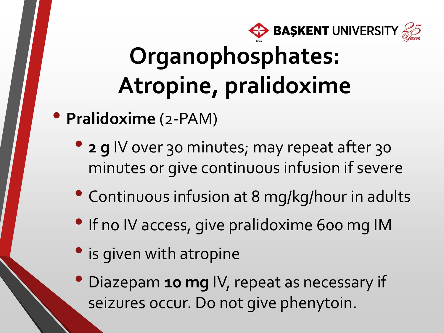

### **Organophosphates: Atropine, pralidoxime**

- **Pralidoxime** (2-PAM)
	- **2 g** IV over 30 minutes; may repeat after 30 minutes or give continuous infusion if severe
	- Continuous infusion at 8 mg/kg/hour in adults
	- If no IV access, give pralidoxime 600 mg IM
	- is given with atropine
	- Diazepam **10 mg** IV, repeat as necessary if seizures occur. Do not give phenytoin.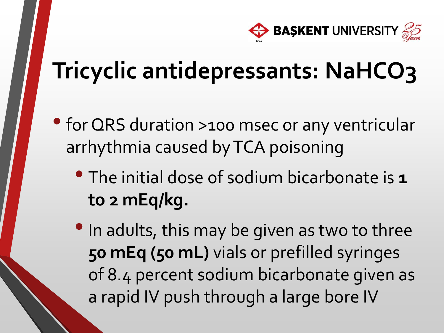

### **Tricyclic antidepressants: NaHCO3**

- for QRS duration >100 msec or any ventricular arrhythmia caused by TCA poisoning
	- The initial dose of sodium bicarbonate is **<sup>1</sup> to 2 mEq/kg.**
	- In adults, this may be given as two to three **50 mEq (50 mL)** vials or prefilled syringes of 8.4 percent sodium bicarbonate given as a rapid IV push through a large bore IV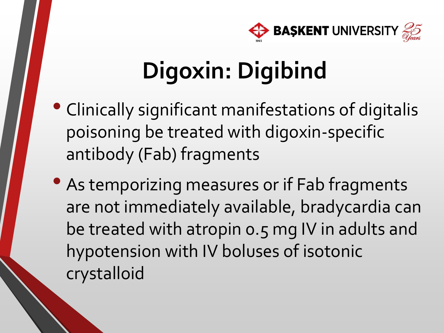

# **Digoxin: Digibind**

- Clinically significant manifestations of digitalis poisoning be treated with digoxin-specific antibody (Fab) fragments
- As temporizing measures or if Fab fragments are not immediately available, bradycardia can be treated with atropin 0.5 mg IV in adults and hypotension with IV boluses of isotonic crystalloid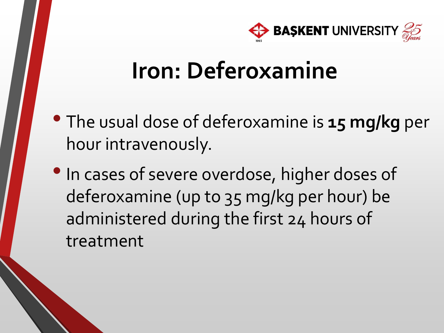

### **Iron: Deferoxamine**

- The usual dose of deferoxamine is **<sup>15</sup> mg/kg** per hour intravenously.
- In cases of severe overdose, higher doses of deferoxamine (up to 35 mg/kg per hour) be administered during the first 24 hours of treatment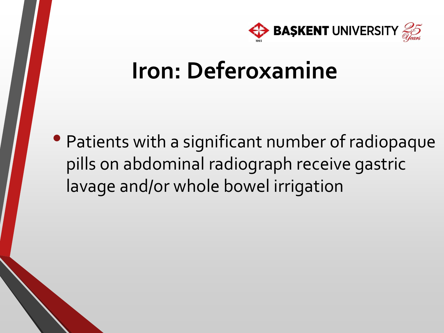

### **Iron: Deferoxamine**

• Patients with a significant number of radiopaque pills on abdominal radiograph receive gastric lavage and/or whole bowel irrigation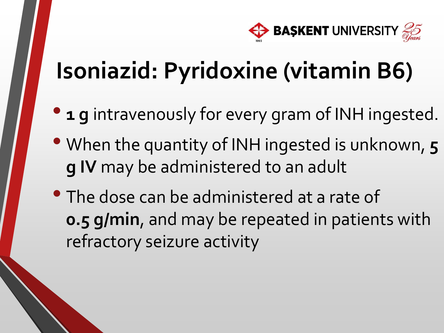

### **Isoniazid: Pyridoxine (vitamin B6)**

- **1 g** intravenously for every gram of INH ingested.
- When the quantity of INH ingested is unknown, **<sup>5</sup> g IV** may be administered to an adult
- The dose can be administered at a rate of **0.5 g/min**, and may be repeated in patients with refractory seizure activity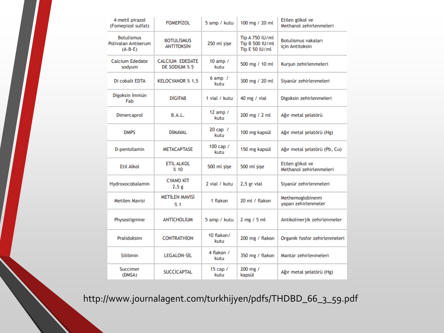| 4-metil pirazol<br>(Fomepizol sulfat)                        | <b>FOMEPIZOL</b>                        | 5 amp / kutu         | 100 mg / 20 ml                                              | Etilen glikol ve<br>Methanol zehirlenmeleri |
|--------------------------------------------------------------|-----------------------------------------|----------------------|-------------------------------------------------------------|---------------------------------------------|
| <b>Botulismus</b><br><b>Polivalan Antiserum</b><br>$(A-B-E)$ | <b>BOTULISMUS</b><br><b>ANTITOKSIN</b>  | 250 ml sise          | <b>Tip A 750 IU/ml</b><br>Tip B 500 IU/ml<br>Tip E 50 IU/ml | Botulismus vakaları<br>icin Antitoksin      |
| Calcium Ededate<br>sodyum                                    | <b>CALCIUM EDEDATE</b><br>DE SODIUM % 5 | 10 amp $/$<br>kutu   | 500 mg / 10 ml                                              | Kurşun zehirlenmeleri                       |
| Di cobalt EDTA                                               | <b>KELOCYANOR % 1,5</b>                 | $6$ amp $/$<br>kutu  | 300 mg / 20 ml                                              | Siyanür zehirlenmeleri                      |
| Digoksin İmmün<br>Fab                                        | <b>DIGIFAB</b>                          | 1 vial / kutu        | 40 mg / vial                                                | Digoksin zehirlenmeleri                     |
| Dimercaprol                                                  | B.A.L.                                  | 12 amp $/$<br>kutu   | 200 mg / 2 ml                                               | Ağır metal şelatörü                         |
| <b>DMPS</b>                                                  | <b>DİMAVAL</b>                          | $20$ cap $/$<br>kutu | 100 mg kapsül                                               | Ağır metal şelatörü (Hg)                    |
| D-penisilamin                                                | <b>METACAPTASE</b>                      | 100 cap /<br>kutu    | 150 mg kapsül                                               | Ağır metal şelatörü (Pb, Cu)                |
| <b>Etil Alkol</b>                                            | ETİL ALKOL<br>%10                       | 500 ml sise          | 500 ml sise                                                 | Etilen glikol ve<br>Methanol zehirlenmeleri |
| Hydroxocobalamin                                             | <b>CYANO KİT</b><br>2,5g                | 2 vial / kutu        | 2,5 gr vial                                                 | Siyanür zehirlenmeleri                      |
| Metilen Mavisi                                               | <b>METİLEN MAVİSİ</b><br>921            | 1 flakon             | 20 ml / flakon                                              | Methemoglobinemi<br>yapan zehirlenmeler     |
| Physostigmine                                                | <b>ANTİCHOLİUM</b>                      | 5 amp / kutu         | $2$ mg $/5$ ml                                              | Antikolinerjik zehirlenmeler                |
| Pralidoksim                                                  | <b>CONTRATHION</b>                      | $10$ flakon/<br>kutu | 200 mg / flakon                                             | Organik fosfor zehirlenmeleri               |
| Silibinin                                                    | <b>LEGALON-SİL</b>                      | 4 flakon /<br>kutu   | 350 mg / flakon                                             | Mantar zehirlenmeleri                       |
| Succimer<br>(DMSA)                                           | <b>SUCCICAPTAL</b>                      | $15$ cap $/$<br>kutu | 200 mg /<br>kapsül                                          | Ağır metal şelatörü (Hg)                    |

http://www.journalagent.com/turkhijyen/pdfs/THDBD\_66\_3\_59.pdf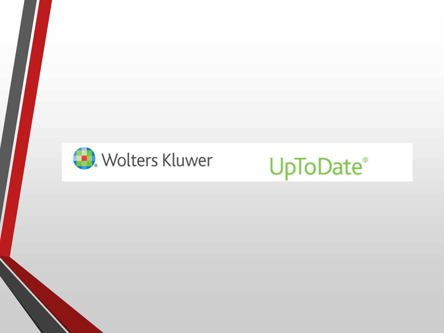